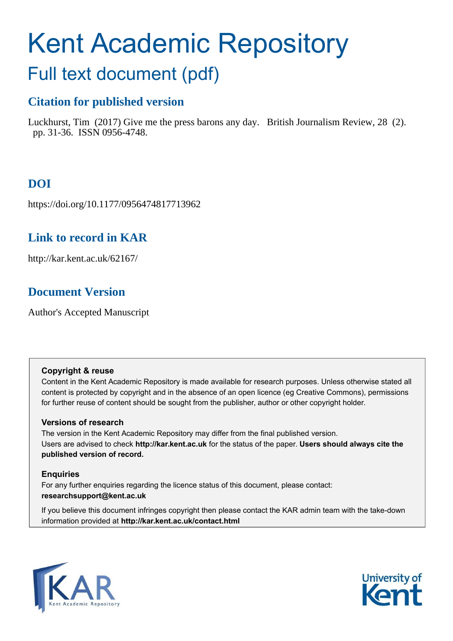# Kent Academic Repository Full text document (pdf)

### **Citation for published version**

Luckhurst, Tim (2017) Give me the press barons any day. British Journalism Review, 28 (2). pp. 31-36. ISSN 0956-4748.

# **DOI**

https://doi.org/10.1177/0956474817713962

## **Link to record in KAR**

http://kar.kent.ac.uk/62167/

## **Document Version**

Author's Accepted Manuscript

#### **Copyright & reuse**

Content in the Kent Academic Repository is made available for research purposes. Unless otherwise stated all content is protected by copyright and in the absence of an open licence (eg Creative Commons), permissions for further reuse of content should be sought from the publisher, author or other copyright holder.

#### **Versions of research**

The version in the Kent Academic Repository may differ from the final published version. Users are advised to check **http://kar.kent.ac.uk** for the status of the paper. **Users should always cite the published version of record.**

#### **Enquiries**

For any further enquiries regarding the licence status of this document, please contact: **researchsupport@kent.ac.uk**

If you believe this document infringes copyright then please contact the KAR admin team with the take-down information provided at **http://kar.kent.ac.uk/contact.html**



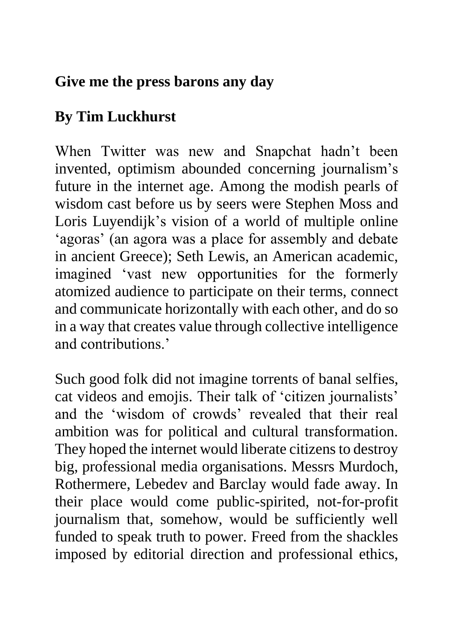# **Give me the press barons any day**

# **By Tim Luckhurst**

When Twitter was new and Snapchat hadn't been invented, optimism abounded concerning journalism's future in the internet age. Among the modish pearls of wisdom cast before us by seers were Stephen Moss and Loris Luyendijk's vision of a world of multiple online 'agoras' (an agora was a place for assembly and debate in ancient Greece); Seth Lewis, an American academic, imagined 'vast new opportunities for the formerly atomized audience to participate on their terms, connect and communicate horizontally with each other, and do so in a way that creates value through collective intelligence and contributions.'

Such good folk did not imagine torrents of banal selfies, cat videos and emojis. Their talk of 'citizen journalists' and the 'wisdom of crowds' revealed that their real ambition was for political and cultural transformation. They hoped the internet would liberate citizens to destroy big, professional media organisations. Messrs Murdoch, Rothermere, Lebedev and Barclay would fade away. In their place would come public-spirited, not-for-profit journalism that, somehow, would be sufficiently well funded to speak truth to power. Freed from the shackles imposed by editorial direction and professional ethics,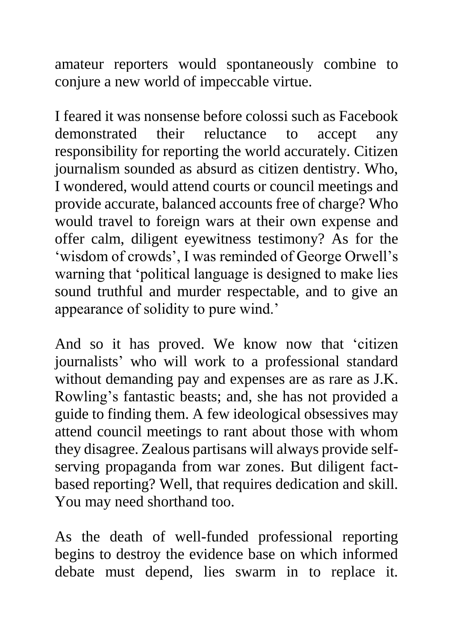amateur reporters would spontaneously combine to conjure a new world of impeccable virtue.

I feared it was nonsense before colossi such as Facebook demonstrated their reluctance to accept any responsibility for reporting the world accurately. Citizen journalism sounded as absurd as citizen dentistry. Who, I wondered, would attend courts or council meetings and provide accurate, balanced accounts free of charge? Who would travel to foreign wars at their own expense and offer calm, diligent eyewitness testimony? As for the 'wisdom of crowds', I was reminded of George Orwell's warning that 'political language is designed to make lies sound truthful and murder respectable, and to give an appearance of solidity to pure wind.'

And so it has proved. We know now that 'citizen journalists' who will work to a professional standard without demanding pay and expenses are as rare as J.K. Rowling's fantastic beasts; and, she has not provided a guide to finding them. A few ideological obsessives may attend council meetings to rant about those with whom they disagree. Zealous partisans will always provide selfserving propaganda from war zones. But diligent factbased reporting? Well, that requires dedication and skill. You may need shorthand too.

As the death of well-funded professional reporting begins to destroy the evidence base on which informed debate must depend, lies swarm in to replace it.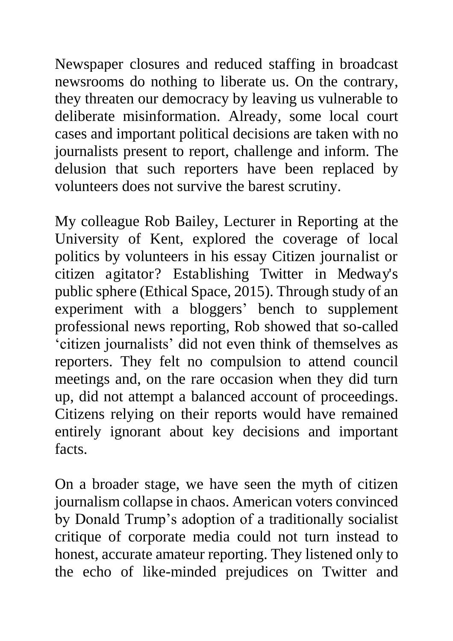Newspaper closures and reduced staffing in broadcast newsrooms do nothing to liberate us. On the contrary, they threaten our democracy by leaving us vulnerable to deliberate misinformation. Already, some local court cases and important political decisions are taken with no journalists present to report, challenge and inform. The delusion that such reporters have been replaced by volunteers does not survive the barest scrutiny.

My colleague Rob Bailey, Lecturer in Reporting at the University of Kent, explored the coverage of local politics by volunteers in his essay Citizen journalist or citizen agitator? Establishing Twitter in Medway's public sphere (Ethical Space, 2015). Through study of an experiment with a bloggers' bench to supplement professional news reporting, Rob showed that so-called 'citizen journalists' did not even think of themselves as reporters. They felt no compulsion to attend council meetings and, on the rare occasion when they did turn up, did not attempt a balanced account of proceedings. Citizens relying on their reports would have remained entirely ignorant about key decisions and important facts.

On a broader stage, we have seen the myth of citizen journalism collapse in chaos. American voters convinced by Donald Trump's adoption of a traditionally socialist critique of corporate media could not turn instead to honest, accurate amateur reporting. They listened only to the echo of like-minded prejudices on Twitter and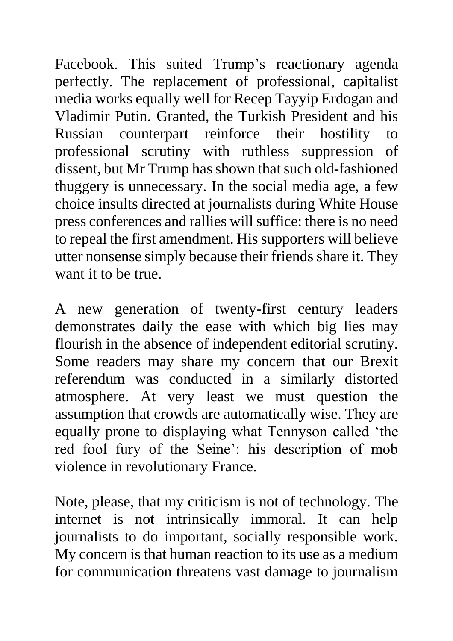Facebook. This suited Trump's reactionary agenda perfectly. The replacement of professional, capitalist media works equally well for Recep Tayyip Erdogan and Vladimir Putin. Granted, the Turkish President and his Russian counterpart reinforce their hostility to professional scrutiny with ruthless suppression of dissent, but Mr Trump has shown that such old-fashioned thuggery is unnecessary. In the social media age, a few choice insults directed at journalists during White House press conferences and rallies will suffice: there is no need to repeal the first amendment. His supporters will believe utter nonsense simply because their friends share it. They want it to be true.

A new generation of twenty-first century leaders demonstrates daily the ease with which big lies may flourish in the absence of independent editorial scrutiny. Some readers may share my concern that our Brexit referendum was conducted in a similarly distorted atmosphere. At very least we must question the assumption that crowds are automatically wise. They are equally prone to displaying what Tennyson called 'the red fool fury of the Seine': his description of mob violence in revolutionary France.

Note, please, that my criticism is not of technology. The internet is not intrinsically immoral. It can help journalists to do important, socially responsible work. My concern is that human reaction to its use as a medium for communication threatens vast damage to journalism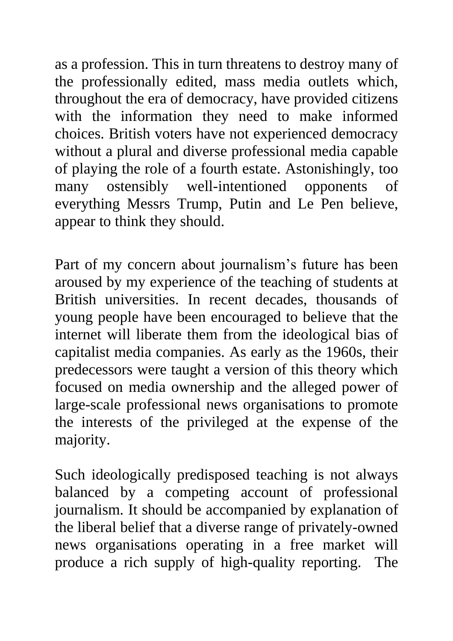as a profession. This in turn threatens to destroy many of the professionally edited, mass media outlets which, throughout the era of democracy, have provided citizens with the information they need to make informed choices. British voters have not experienced democracy without a plural and diverse professional media capable of playing the role of a fourth estate. Astonishingly, too many ostensibly well-intentioned opponents of everything Messrs Trump, Putin and Le Pen believe, appear to think they should.

Part of my concern about journalism's future has been aroused by my experience of the teaching of students at British universities. In recent decades, thousands of young people have been encouraged to believe that the internet will liberate them from the ideological bias of capitalist media companies. As early as the 1960s, their predecessors were taught a version of this theory which focused on media ownership and the alleged power of large-scale professional news organisations to promote the interests of the privileged at the expense of the majority.

Such ideologically predisposed teaching is not always balanced by a competing account of professional journalism. It should be accompanied by explanation of the liberal belief that a diverse range of privately-owned news organisations operating in a free market will produce a rich supply of high-quality reporting. The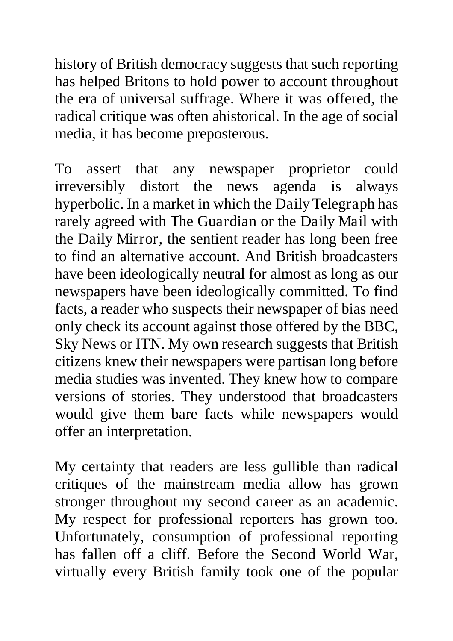history of British democracy suggests that such reporting has helped Britons to hold power to account throughout the era of universal suffrage. Where it was offered, the radical critique was often ahistorical. In the age of social media, it has become preposterous.

To assert that any newspaper proprietor could irreversibly distort the news agenda is always hyperbolic. In a market in which the Daily Telegraph has rarely agreed with The Guardian or the Daily Mail with the Daily Mirror, the sentient reader has long been free to find an alternative account. And British broadcasters have been ideologically neutral for almost as long as our newspapers have been ideologically committed. To find facts, a reader who suspects their newspaper of bias need only check its account against those offered by the BBC, Sky News or ITN. My own research suggests that British citizens knew their newspapers were partisan long before media studies was invented. They knew how to compare versions of stories. They understood that broadcasters would give them bare facts while newspapers would offer an interpretation.

My certainty that readers are less gullible than radical critiques of the mainstream media allow has grown stronger throughout my second career as an academic. My respect for professional reporters has grown too. Unfortunately, consumption of professional reporting has fallen off a cliff. Before the Second World War, virtually every British family took one of the popular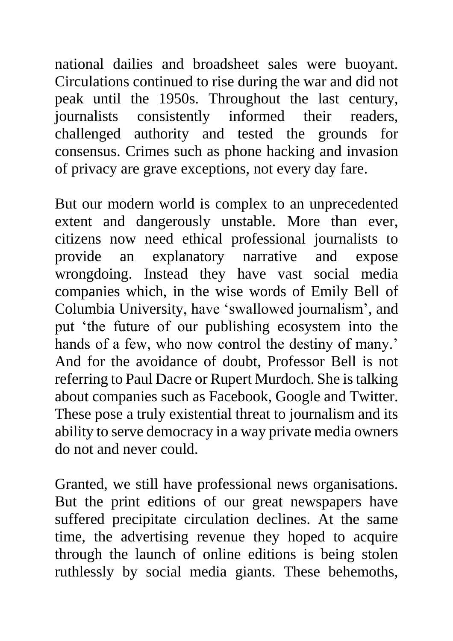national dailies and broadsheet sales were buoyant. Circulations continued to rise during the war and did not peak until the 1950s. Throughout the last century, journalists consistently informed their readers, challenged authority and tested the grounds for consensus. Crimes such as phone hacking and invasion of privacy are grave exceptions, not every day fare.

But our modern world is complex to an unprecedented extent and dangerously unstable. More than ever, citizens now need ethical professional journalists to provide an explanatory narrative and expose wrongdoing. Instead they have vast social media companies which, in the wise words of Emily Bell of Columbia University, have 'swallowed journalism', and put 'the future of our publishing ecosystem into the hands of a few, who now control the destiny of many.' And for the avoidance of doubt, Professor Bell is not referring to Paul Dacre or Rupert Murdoch. She is talking about companies such as Facebook, Google and Twitter. These pose a truly existential threat to journalism and its ability to serve democracy in a way private media owners do not and never could.

Granted, we still have professional news organisations. But the print editions of our great newspapers have suffered precipitate circulation declines. At the same time, the advertising revenue they hoped to acquire through the launch of online editions is being stolen ruthlessly by social media giants. These behemoths,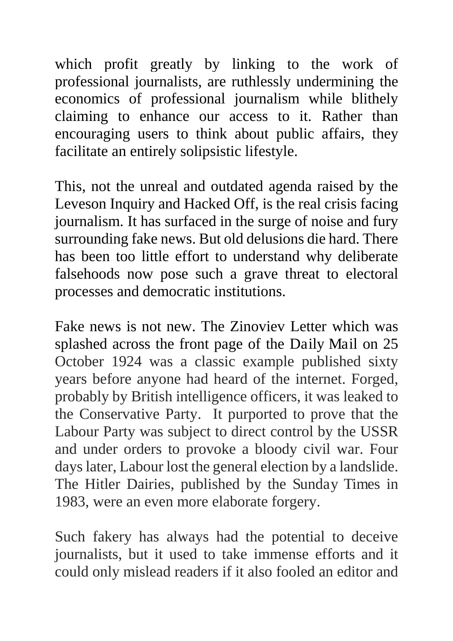which profit greatly by linking to the work of professional journalists, are ruthlessly undermining the economics of professional journalism while blithely claiming to enhance our access to it. Rather than encouraging users to think about public affairs, they facilitate an entirely solipsistic lifestyle.

This, not the unreal and outdated agenda raised by the Leveson Inquiry and Hacked Off, is the real crisis facing journalism. It has surfaced in the surge of noise and fury surrounding fake news. But old delusions die hard. There has been too little effort to understand why deliberate falsehoods now pose such a grave threat to electoral processes and democratic institutions.

Fake news is not new. The Zinoviev Letter which was splashed across the front page of the Daily Mail on 25 October 1924 was a classic example published sixty years before anyone had heard of the internet. Forged, probably by British intelligence officers, it was leaked to the Conservative Party. It purported to prove that the Labour Party was subject to direct control by the USSR and under orders to provoke a bloody civil war. Four days later, Labour lost the general election by a landslide. The Hitler Dairies, published by the Sunday Times in 1983, were an even more elaborate forgery.

Such fakery has always had the potential to deceive journalists, but it used to take immense efforts and it could only mislead readers if it also fooled an editor and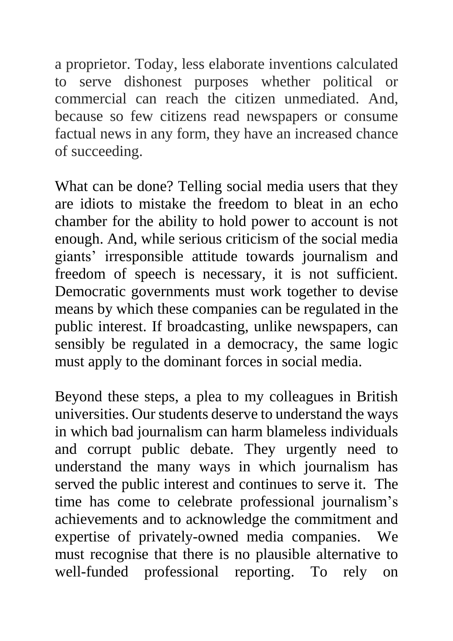a proprietor. Today, less elaborate inventions calculated to serve dishonest purposes whether political or commercial can reach the citizen unmediated. And, because so few citizens read newspapers or consume factual news in any form, they have an increased chance of succeeding.

What can be done? Telling social media users that they are idiots to mistake the freedom to bleat in an echo chamber for the ability to hold power to account is not enough. And, while serious criticism of the social media giants' irresponsible attitude towards journalism and freedom of speech is necessary, it is not sufficient. Democratic governments must work together to devise means by which these companies can be regulated in the public interest. If broadcasting, unlike newspapers, can sensibly be regulated in a democracy, the same logic must apply to the dominant forces in social media.

Beyond these steps, a plea to my colleagues in British universities. Our students deserve to understand the ways in which bad journalism can harm blameless individuals and corrupt public debate. They urgently need to understand the many ways in which journalism has served the public interest and continues to serve it. The time has come to celebrate professional journalism's achievements and to acknowledge the commitment and expertise of privately-owned media companies. We must recognise that there is no plausible alternative to well-funded professional reporting. To rely on